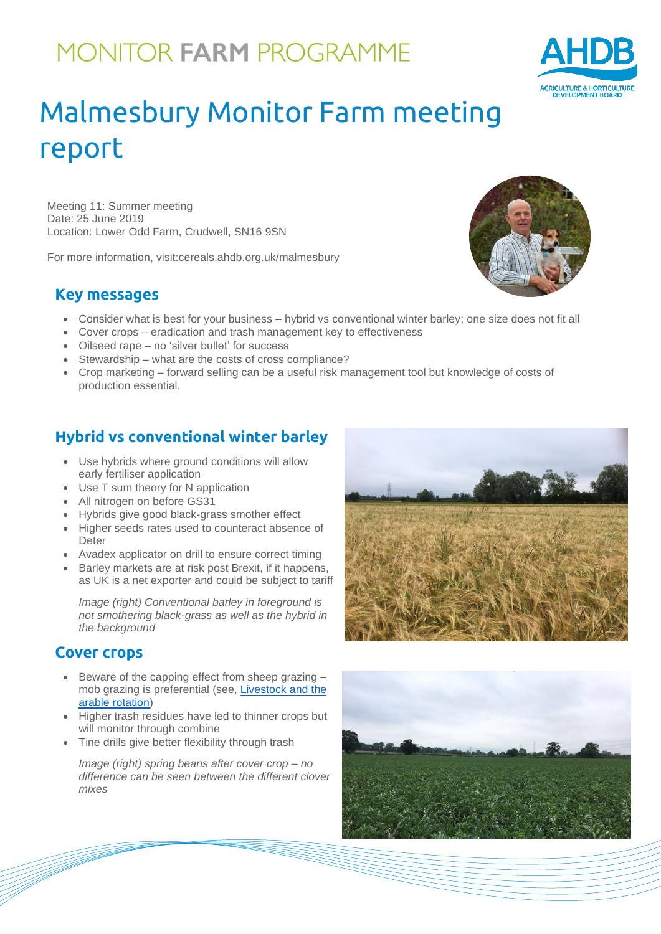## **MONITOR FARM PROGRAMME**

# Malmesbury Monitor Farm meeting report

Meeting 11: Summer meeting Date: 25 June 2019 Location: Lower Odd Farm, Crudwell, SN16 9SN

For more information, visit:cereals.ahdb.org.uk/malmesbury

#### **Key messages**

- Consider what is best for your business hybrid vs conventional winter barley; one size does not fit all
- Cover crops eradication and trash management key to effectiveness
- Oilseed rape no 'silver bullet' for success
- Stewardship what are the costs of cross compliance?
- Crop marketing forward selling can be a useful risk management tool but knowledge of costs of production essential.

## **Hybrid vs conventional winter barley**

- Use hybrids where ground conditions will allow early fertiliser application
- Use T sum theory for N application
- All nitrogen on before GS31
- Hybrids give good black-grass smother effect
- Higher seeds rates used to counteract absence of Deter
- Avadex applicator on drill to ensure correct timing
- Barley markets are at risk post Brexit, if it happens, as UK is a net exporter and could be subject to tariff

*Image (right) Conventional barley in foreground is not smothering black-grass as well as the hybrid in the background*

#### **Cover crops**

- Beware of the capping effect from sheep grazing mob grazing is preferential (see, [Livestock and the](https://ahdb.org.uk/livestock-and-the-arable-rotation)  [arable rotation\)](https://ahdb.org.uk/livestock-and-the-arable-rotation)
- Higher trash residues have led to thinner crops but will monitor through combine
- Tine drills give better flexibility through trash

*Image (right) spring beans after cover crop – no difference can be seen between the different clover mixes*